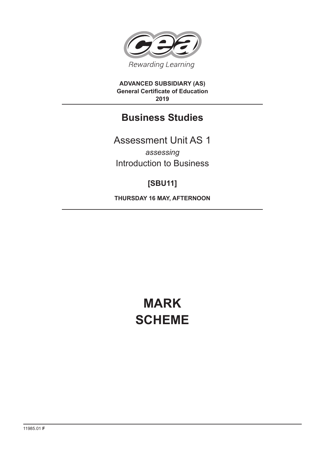

**ADVANCED SUBSIDIARY (AS) General Certificate of Education 2019**

# **Business Studies**

Assessment Unit AS 1 *assessing* Introduction to Business

# **[SBU11]**

**THURSDAY 16 MAY, AFTERNOON**

# **MARK SCHEME**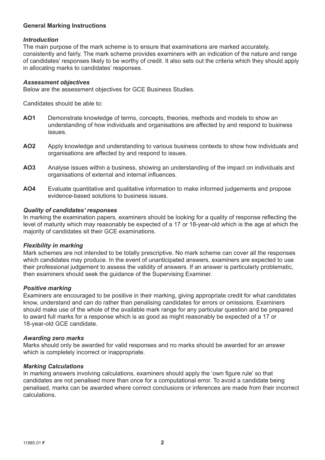# **General Marking Instructions**

#### *Introduction*

The main purpose of the mark scheme is to ensure that examinations are marked accurately, consistently and fairly. The mark scheme provides examiners with an indication of the nature and range of candidates' responses likely to be worthy of credit. It also sets out the criteria which they should apply in allocating marks to candidates' responses.

#### *Assessment objectives*

Below are the assessment objectives for GCE Business Studies.

Candidates should be able to:

- **AO1** Demonstrate knowledge of terms, concepts, theories, methods and models to show an understanding of how individuals and organisations are affected by and respond to business issues.
- **AO2** Apply knowledge and understanding to various business contexts to show how individuals and organisations are affected by and respond to issues.
- **AO3** Analyse issues within a business, showing an understanding of the impact on individuals and organisations of external and internal influences.
- **AO4** Evaluate quantitative and qualitative information to make informed judgements and propose evidence-based solutions to business issues.

#### *Quality of candidates' responses*

In marking the examination papers, examiners should be looking for a quality of response reflecting the level of maturity which may reasonably be expected of a 17 or 18-year-old which is the age at which the majority of candidates sit their GCE examinations.

#### *Flexibility in marking*

Mark schemes are not intended to be totally prescriptive. No mark scheme can cover all the responses which candidates may produce. In the event of unanticipated answers, examiners are expected to use their professional judgement to assess the validity of answers. If an answer is particularly problematic, then examiners should seek the guidance of the Supervising Examiner.

#### *Positive marking*

Examiners are encouraged to be positive in their marking, giving appropriate credit for what candidates know, understand and can do rather than penalising candidates for errors or omissions. Examiners should make use of the whole of the available mark range for any particular question and be prepared to award full marks for a response which is as good as might reasonably be expected of a 17 or 18-year-old GCE candidate.

#### *Awarding zero marks*

Marks should only be awarded for valid responses and no marks should be awarded for an answer which is completely incorrect or inappropriate.

#### *Marking Calculations*

In marking answers involving calculations, examiners should apply the 'own figure rule' so that candidates are not penalised more than once for a computational error. To avoid a candidate being penalised, marks can be awarded where correct conclusions or inferences are made from their incorrect calculations.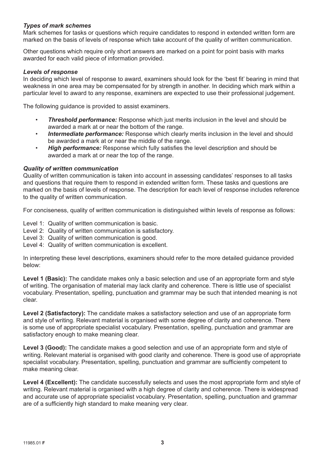# *Types of mark schemes*

Mark schemes for tasks or questions which require candidates to respond in extended written form are marked on the basis of levels of response which take account of the quality of written communication.

Other questions which require only short answers are marked on a point for point basis with marks awarded for each valid piece of information provided.

#### *Levels of response*

In deciding which level of response to award, examiners should look for the 'best fit' bearing in mind that weakness in one area may be compensated for by strength in another. In deciding which mark within a particular level to award to any response, examiners are expected to use their professional judgement.

The following guidance is provided to assist examiners.

- *Threshold performance:* Response which just merits inclusion in the level and should be awarded a mark at or near the bottom of the range.
- *Intermediate performance:* Response which clearly merits inclusion in the level and should be awarded a mark at or near the middle of the range.
- *High performance:* Response which fully satisfies the level description and should be awarded a mark at or near the top of the range.

#### *Quality of written communication*

Quality of written communication is taken into account in assessing candidates' responses to all tasks and questions that require them to respond in extended written form. These tasks and questions are marked on the basis of levels of response. The description for each level of response includes reference to the quality of written communication.

For conciseness, quality of written communication is distinguished within levels of response as follows:

Level 1: Quality of written communication is basic.

- Level 2: Quality of written communication is satisfactory.
- Level 3: Quality of written communication is good.
- Level 4: Quality of written communication is excellent.

In interpreting these level descriptions, examiners should refer to the more detailed guidance provided below:

**Level 1 (Basic):** The candidate makes only a basic selection and use of an appropriate form and style of writing. The organisation of material may lack clarity and coherence. There is little use of specialist vocabulary. Presentation, spelling, punctuation and grammar may be such that intended meaning is not clear.

**Level 2 (Satisfactory):** The candidate makes a satisfactory selection and use of an appropriate form and style of writing. Relevant material is organised with some degree of clarity and coherence. There is some use of appropriate specialist vocabulary. Presentation, spelling, punctuation and grammar are satisfactory enough to make meaning clear.

**Level 3 (Good):** The candidate makes a good selection and use of an appropriate form and style of writing. Relevant material is organised with good clarity and coherence. There is good use of appropriate specialist vocabulary. Presentation, spelling, punctuation and grammar are sufficiently competent to make meaning clear.

Level 4 (Excellent): The candidate successfully selects and uses the most appropriate form and style of writing. Relevant material is organised with a high degree of clarity and coherence. There is widespread and accurate use of appropriate specialist vocabulary. Presentation, spelling, punctuation and grammar are of a sufficiently high standard to make meaning very clear.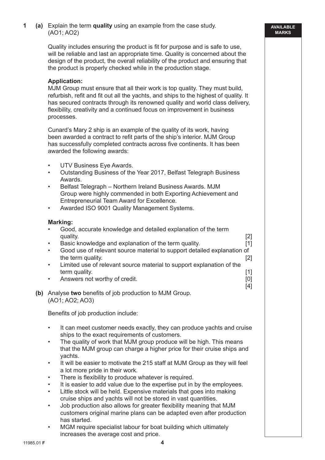## **1 (a)** Explain the term **quality** using an example from the case study. (AO1; AO2)

Quality includes ensuring the product is fit for purpose and is safe to use. will be reliable and last an appropriate time. Quality is concerned about the design of the product, the overall reliability of the product and ensuring that the product is properly checked while in the production stage.

#### **Application:**

 MJM Group must ensure that all their work is top quality. They must build, refurbish, refit and fit out all the yachts, and ships to the highest of quality. It has secured contracts through its renowned quality and world class delivery. flexibility, creativity and a continued focus on improvement in business processes.

 Cunard's Mary 2 ship is an example of the quality of its work, having been awarded a contract to refit parts of the ship's interior. MJM Group has successfully completed contracts across five continents. It has been awarded the following awards:

- UTV Business Eye Awards.
- Outstanding Business of the Year 2017, Belfast Telegraph Business Awards.
- Belfast Telegraph Northern Ireland Business Awards. MJM Group were highly commended in both Exporting Achievement and Entrepreneurial Team Award for Excellence.
- Awarded ISO 9001 Quality Management Systems.

#### **Marking:**

| Good, accurate knowledge and detailed explanation of the term |       |
|---------------------------------------------------------------|-------|
| quality.                                                      | $[2]$ |
| Basic knowledge and explanation of the term quality.          | $[1]$ |

- Good use of relevant source material to support detailed explanation of the term quality. [2]
- Limited use of relevant source material to support explanation of the term quality. [1]
- Answers not worthy of credit. The contract of the contract of the contract of the contract of the contract of the contract of the contract of the contract of the contract of the contract of the contract of the contract of
- [4] **(b)** Analyse two benefits of job production to MJM Group. (AO1; AO2; AO3)

Benefits of job production include:

- It can meet customer needs exactly, they can produce yachts and cruise ships to the exact requirements of customers.
- The quality of work that MJM group produce will be high. This means that the MJM group can charge a higher price for their cruise ships and yachts.
- It will be easier to motivate the 215 staff at MJM Group as they will feel a lot more pride in their work.
- There is flexibility to produce whatever is required.
- It is easier to add value due to the expertise put in by the employees.
- Little stock will be held. Expensive materials that goes into making cruise ships and yachts will not be stored in vast quantities.
- Job production also allows for greater flexibility meaning that MJM customers original marine plans can be adapted even after production has started.
- MGM require specialist labour for boat building which ultimately increases the average cost and price.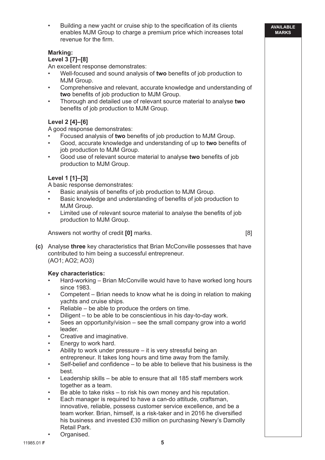Building a new yacht or cruise ship to the specification of its clients enables MJM Group to charge a premium price which increases total revenue for the firm.

#### **Marking:**

#### **Level 3 [7]–[8]**

An excellent response demonstrates:

- Well-focused and sound analysis of **two** benefits of job production to MJM Group.
- Comprehensive and relevant, accurate knowledge and understanding of two benefits of job production to MJM Group.
- Thorough and detailed use of relevant source material to analyse **two** benefits of job production to MJM Group.

#### **Level 2 [4]–[6]**

A good response demonstrates:

- Focused analysis of two benefits of job production to MJM Group.
- Good, accurate knowledge and understanding of up to two benefits of job production to MJM Group.
- Good use of relevant source material to analyse two benefits of job production to MJM Group.

#### **Level 1 [1]–[3]**

A basic response demonstrates:

- Basic analysis of benefits of job production to MJM Group.
- Basic knowledge and understanding of benefits of job production to MJM Group.
- Limited use of relevant source material to analyse the benefits of job production to MJM Group.

Answers not worthy of credit **[0]** marks. [8]

 **(c)** Analyse **three** key characteristics that Brian McConville possesses that have contributed to him being a successful entrepreneur. (AO1; AO2; AO3)

#### **Key characteristics:**

- Hard-working Brian McConville would have to have worked long hours since 1983.
- Competent Brian needs to know what he is doing in relation to making yachts and cruise ships.
- Reliable be able to produce the orders on time.
- Diligent to be able to be conscientious in his day-to-day work.
- Sees an opportunity/vision see the small company grow into a world leader.
- Creative and imaginative.
- Energy to work hard.
- Ability to work under pressure it is very stressful being an entrepreneur. It takes long hours and time away from the family.
- $\cdot$  Self-belief and confidence to be able to believe that his business is the best.
- Leadership skills be able to ensure that all 185 staff members work together as a team.
- Be able to take risks to risk his own money and his reputation.
- Each manager is required to have a can-do attitude, craftsman, innovative, reliable, possess customer service excellence, and be a team worker. Brian, himself, is a risk-taker and in 2016 he diversified his business and invested £30 million on purchasing Newry's Damolly Retail Park.
	- Organised.

**5**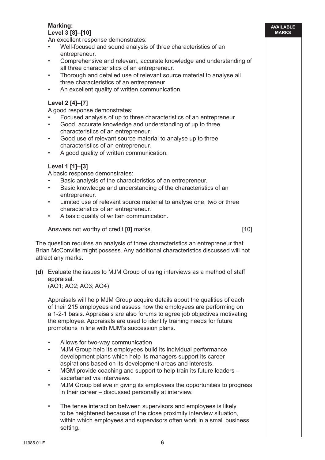# **Marking:**

## **Level 3 [8]–[10]**

An excellent response demonstrates:

- Well-focused and sound analysis of three characteristics of an entrepreneur.
- Comprehensive and relevant, accurate knowledge and understanding of all three characteristics of an entrepreneur.
- Thorough and detailed use of relevant source material to analyse all three characteristics of an entrepreneur.
- An excellent quality of written communication.

# **Level 2 [4]–[7]**

A good response demonstrates:

- Focused analysis of up to three characteristics of an entrepreneur.
- Good, accurate knowledge and understanding of up to three characteristics of an entrepreneur.
- Good use of relevant source material to analyse up to three characteristics of an entrepreneur.
- A good quality of written communication.

# **Level 1 [1]–[3]**

A basic response demonstrates:

- Basic analysis of the characteristics of an entrepreneur.
- Basic knowledge and understanding of the characteristics of an entrepreneur.
- Limited use of relevant source material to analyse one, two or three characteristics of an entrepreneur.
- A basic quality of written communication.

Answers not worthy of credit **[0]** marks. [10]

**AVAILABLE MARKS**

 The question requires an analysis of three characteristics an entrepreneur that Brian McConville might possess. Any additional characteristics discussed will not attract any marks.

 **(d)** Evaluate the issues to MJM Group of using interviews as a method of staff appraisal.

(AO1; AO2; AO3; AO4)

 Appraisals will help MJM Group acquire details about the qualities of each of their 215 employees and assess how the employees are performing on a 1-2-1 basis. Appraisals are also forums to agree job objectives motivating the employee. Appraisals are used to identify training needs for future promotions in line with MJM's succession plans.

- Allows for two-way communication
- MJM Group help its employees build its individual performance development plans which help its managers support its career aspirations based on its development areas and interests.
- MGM provide coaching and support to help train its future leaders ascertained via interviews.
- MJM Group believe in giving its employees the opportunities to progress in their career – discussed personally at interview.
- The tense interaction between supervisors and employees is likely to be heightened because of the close proximity interview situation, within which employees and supervisors often work in a small business setting.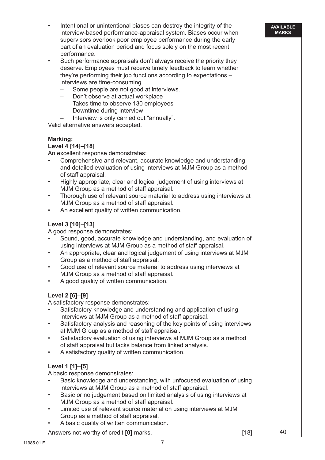- Intentional or unintentional biases can destroy the integrity of the interview-based performance-appraisal system. Biases occur when supervisors overlook poor employee performance during the early part of an evaluation period and focus solely on the most recent performance.
- Such performance appraisals don't always receive the priority they deserve. Employees must receive timely feedback to learn whether they're performing their job functions according to expectations – interviews are time-consuming.
	- Some people are not good at interviews.
	- Don't observe at actual workplace
	- Takes time to observe 130 employees
	- Downtime during interview
	- Interview is only carried out "annually".

Valid alternative answers accepted.

# **Marking:**

# **Level 4 [14]–[18]**

An excellent response demonstrates:

- Comprehensive and relevant, accurate knowledge and understanding, and detailed evaluation of using interviews at MJM Group as a method of staff appraisal.
- Highly appropriate, clear and logical judgement of using interviews at MJM Group as a method of staff appraisal.
- Thorough use of relevant source material to address using interviews at MJM Group as a method of staff appraisal.
- An excellent quality of written communication.

# **Level 3 [10]–[13]**

A good response demonstrates:

- Sound, good, accurate knowledge and understanding, and evaluation of using interviews at MJM Group as a method of staff appraisal.
- An appropriate, clear and logical judgement of using interviews at MJM Group as a method of staff appraisal.
- Good use of relevant source material to address using interviews at MJM Group as a method of staff appraisal.
- A good quality of written communication.

# **Level 2 [6]–[9]**

A satisfactory response demonstrates:

- Satisfactory knowledge and understanding and application of using interviews at MJM Group as a method of staff appraisal.
- Satisfactory analysis and reasoning of the key points of using interviews at MJM Group as a method of staff appraisal.
- Satisfactory evaluation of using interviews at MJM Group as a method of staff appraisal but lacks balance from linked analysis.
- A satisfactory quality of written communication.

# **Level 1 [1]–[5]**

A basic response demonstrates:

- Basic knowledge and understanding, with unfocused evaluation of using interviews at MJM Group as a method of staff appraisal.
- Basic or no judgement based on limited analysis of using interviews at MJM Group as a method of staff appraisal.
- Limited use of relevant source material on using interviews at MJM Group as a method of staff appraisal.
- A basic quality of written communication.

Answers not worthy of credit **[0]** marks. [18]

**AVAILABLE MARKS**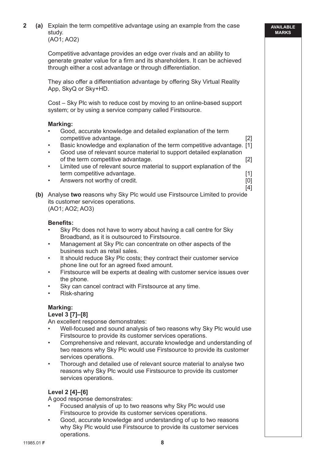| $\mathbf{2}$ | (a) Explain the term competitive advantage using an example from the case<br>study.<br>(AO1; AO2)                                                                                                                                                                                                                                                                                                                                                                                                                                                                                                                                                               | <b>AVAILABLE</b><br><b>MARKS</b> |
|--------------|-----------------------------------------------------------------------------------------------------------------------------------------------------------------------------------------------------------------------------------------------------------------------------------------------------------------------------------------------------------------------------------------------------------------------------------------------------------------------------------------------------------------------------------------------------------------------------------------------------------------------------------------------------------------|----------------------------------|
|              | Competitive advantage provides an edge over rivals and an ability to<br>generate greater value for a firm and its shareholders. It can be achieved<br>through either a cost advantage or through differentiation.                                                                                                                                                                                                                                                                                                                                                                                                                                               |                                  |
|              | They also offer a differentiation advantage by offering Sky Virtual Reality<br>App, SkyQ or Sky+HD.                                                                                                                                                                                                                                                                                                                                                                                                                                                                                                                                                             |                                  |
|              | Cost – Sky Plc wish to reduce cost by moving to an online-based support<br>system; or by using a service company called Firstsource.                                                                                                                                                                                                                                                                                                                                                                                                                                                                                                                            |                                  |
|              | <b>Marking:</b><br>Good, accurate knowledge and detailed explanation of the term<br>competitive advantage.<br>$[2]$<br>Basic knowledge and explanation of the term competitive advantage. [1]<br>$\bullet$<br>Good use of relevant source material to support detailed explanation<br>$\bullet$<br>of the term competitive advantage.<br>$[2]$<br>Limited use of relevant source material to support explanation of the<br>$\bullet$<br>term competitive advantage.<br>$[1]$<br>Answers not worthy of credit.<br>[0]<br>$\bullet$<br>$[4]$<br>(b) Analyse two reasons why Sky Plc would use Firstsource Limited to provide<br>its customer services operations. |                                  |
|              | (AO1; AO2; AO3)<br><b>Benefits:</b><br>Sky Plc does not have to worry about having a call centre for Sky<br>$\bullet$<br>Broadband, as it is outsourced to Firstsource.<br>Management at Sky Plc can concentrate on other aspects of the<br>$\bullet$<br>business such as retail sales.<br>It should reduce Sky PIc costs; they contract their customer service<br>$\bullet$<br>phone line out for an agreed fixed amount.<br>Firstsource will be experts at dealing with customer service issues over<br>$\bullet$<br>the phone.<br>Sky can cancel contract with Firstsource at any time.<br>$\bullet$<br>Risk-sharing<br>$\bullet$                            |                                  |
|              | <b>Marking:</b><br>Level 3 [7]-[8]<br>An excellent response demonstrates:<br>Well-focused and sound analysis of two reasons why Sky Plc would use<br>Firstsource to provide its customer services operations.<br>Comprehensive and relevant, accurate knowledge and understanding of<br>$\bullet$<br>two reasons why Sky Plc would use Firstsource to provide its customer<br>services operations.<br>Thorough and detailed use of relevant source material to analyse two<br>$\bullet$<br>reasons why Sky Plc would use Firstsource to provide its customer<br>services operations.                                                                            |                                  |
|              | Level 2 [4]-[6]<br>A good response demonstrates:<br>Focused analysis of up to two reasons why Sky Plc would use<br>Firstsource to provide its customer services operations.<br>Good, accurate knowledge and understanding of up to two reasons<br>$\bullet$<br>why Sky Plc would use Firstsource to provide its customer services<br>operations.                                                                                                                                                                                                                                                                                                                |                                  |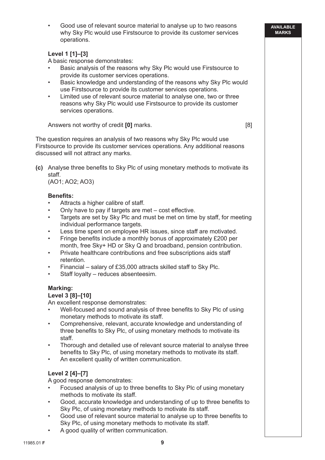• Good use of relevant source material to analyse up to two reasons why Sky Plc would use Firstsource to provide its customer services operations.

**AVAILABLE MARKS**

# **Level 1 [1]–[3]**

A basic response demonstrates:

- Basic analysis of the reasons why Sky Plc would use Firstsource to provide its customer services operations.
- Basic knowledge and understanding of the reasons why Sky Plc would use Firstsource to provide its customer services operations.
- Limited use of relevant source material to analyse one, two or three reasons why Sky Plc would use Firstsource to provide its customer services operations.

Answers not worthy of credit **[0]** marks. [8]

 The question requires an analysis of two reasons why Sky Plc would use Firstsource to provide its customer services operations. Any additional reasons discussed will not attract any marks.

**(c)** Analyse three benefits to Sky Plc of using monetary methods to motivate its staff.

(AO1; AO2; AO3)

# **Benefits:**

- Attracts a higher calibre of staff.
- Only have to pay if targets are met cost effective.
- Targets are set by Sky Plc and must be met on time by staff, for meeting individual performance targets.
- Less time spent on employee HR issues, since staff are motivated.
- Fringe benefits include a monthly bonus of approximately £200 per month, free Sky+ HD or Sky Q and broadband, pension contribution.
- Private healthcare contributions and free subscriptions aids staff retention.
- Financial salary of £35,000 attracts skilled staff to Sky Plc.
- Staff loyalty reduces absenteesim.

# **Marking:**

#### **Level 3 [8]–[10]**

An excellent response demonstrates:

- Well-focused and sound analysis of three benefits to Sky Plc of using monetary methods to motivate its staff.
- Comprehensive, relevant, accurate knowledge and understanding of three benefits to Sky Plc, of using monetary methods to motivate its staff.
- Thorough and detailed use of relevant source material to analyse three benefits to Sky Plc, of using monetary methods to motivate its staff.
- An excellent quality of written communication.

# **Level 2 [4]–[7]**

A good response demonstrates:

- Focused analysis of up to three benefits to Sky Plc of using monetary methods to motivate its staff.
- Good, accurate knowledge and understanding of up to three benefits to Sky Plc, of using monetary methods to motivate its staff.
- Good use of relevant source material to analyse up to three benefits to Sky Plc, of using monetary methods to motivate its staff.
- A good quality of written communication.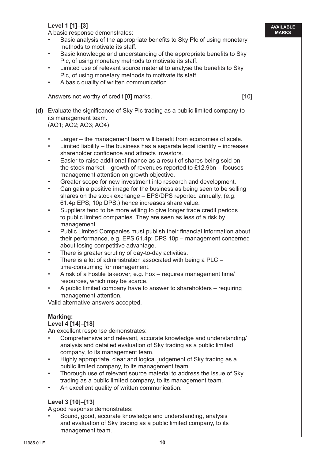# **Level 1 [1]–[3]**

A basic response demonstrates:

- Basic analysis of the appropriate benefits to Sky Plc of using monetary methods to motivate its staff.
- Basic knowledge and understanding of the appropriate benefits to Sky Plc, of using monetary methods to motivate its staff.
- Limited use of relevant source material to analyse the benefits to Sky Plc, of using monetary methods to motivate its staff.
- A basic quality of written communication.

Answers not worthy of credit **[0]** marks. **Example 20 [10] [10]** 

- **(d)** Evaluate the significance of Sky Plc trading as a public limited company to its management team. (AO1; AO2; AO3; AO4)
	- Larger the management team will benefit from economies of scale.
	- Limited liability the business has a separate legal identity increases shareholder confidence and attracts investors.
	- Easier to raise additional finance as a result of shares being sold on the stock market – growth of revenues reported to £12.9bn – focuses management attention on growth objective.
	- Greater scope for new investment into research and development.
	- Can gain a positive image for the business as being seen to be selling shares on the stock exchange – EPS/DPS reported annually, (e.g. 61.4p EPS; 10p DPS.) hence increases share value.
	- Suppliers tend to be more willing to give longer trade credit periods to public limited companies. They are seen as less of a risk by management.
	- Public Limited Companies must publish their financial information about their performance, e.g. EPS 61.4p; DPS 10p – management concerned about losing competitive advantage.
	- There is greater scrutiny of day-to-day activities.
	- There is a lot of administration associated with being a PLC time-consuming for management.
	- A risk of a hostile takeover, e.g. Fox requires management time/ resources, which may be scarce.
	- A public limited company have to answer to shareholders requiring management attention.

Valid alternative answers accepted.

# **Marking:**

# **Level 4 [14]–[18]**

An excellent response demonstrates:

- Comprehensive and relevant, accurate knowledge and understanding/ analysis and detailed evaluation of Sky trading as a public limited company, to its management team.
- Highly appropriate, clear and logical judgement of Sky trading as a public limited company, to its management team.
- Thorough use of relevant source material to address the issue of Sky trading as a public limited company, to its management team.
- An excellent quality of written communication.

# **Level 3 [10]–[13]**

A good response demonstrates:

• Sound, good, accurate knowledge and understanding, analysis and evaluation of Sky trading as a public limited company, to its management team.

**AVAILABLE MARKS**